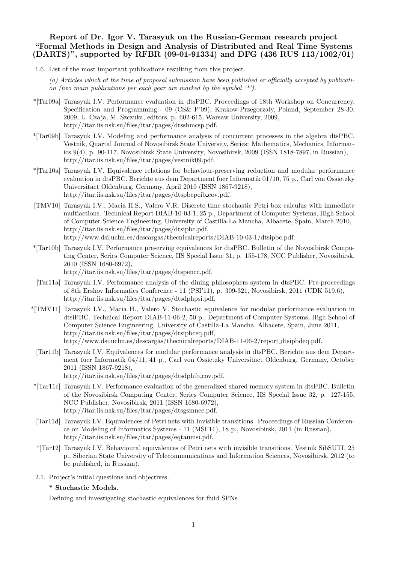# Report of Dr. Igor V. Tarasyuk on the Russian-German research project "Formal Methods in Design and Analysis of Distributed and Real Time Systems  $(DARTS)$ ", supported by RFBR (09-01-91334) and DFG (436 RUS 113/1002/01)

- 1.6. List of the most important publications resulting from this project.
	- (a) Articles which at the time of proposal submission have been published or officially accepted by publication (two main publications per each year are marked by the symbol  $\lambda^{(*)}$ ).
- \*[Tar09a] Tarasyuk I.V. Performance evaluation in dtsPBC. Proceedings of 18th Workshop on Concurrency, Specification and Programming - 09 (CS& P'09), Krakow-Przegorzaly, Poland, September 28-30, 2009, L. Czaja, M. Szczuka, editors, p. 602-615, Warsaw University, 2009, http://itar.iis.nsk.su/files/itar/pages/dtsshmcsp.pdf.
- \*[Tar09b] Tarasyuk I.V. Modeling and performance analysis of concurrent processes in the algebra dtsPBC. Vestnik, Quartal Journal of Novosibirsk State University, Series: Mathematics, Mechanics, Informatics 9(4), p. 90-117, Novosibirsk State University, Novosibirsk, 2009 (ISSN 1818-7897, in Russian), http://itar.iis.nsk.su/files/itar/pages/vestnik09.pdf.
- \*[Tar10a] Tarasyuk I.V. Equivalence relations for behaviour-preserving reduction and modular performance evaluation in dtsPBC. Berichte aus dem Department fuer Informatik 01/10, 75 p., Carl von Ossietzky Universitaet Oldenburg, Germany, April 2010 (ISSN 1867-9218), http://itar.iis.nsk.su/files/itar/pages/dtspbcpeib cov.pdf.
- [TMV10] Tarasyuk I.V., Macia H.S., Valero V.R. Discrete time stochastic Petri box calculus with immediate multiactions. Technical Report DIAB-10-03-1, 25 p., Department of Computer Systems, High School of Computer Science Engineering, University of Castilla-La Mancha, Albacete, Spain, March 2010, http://itar.iis.nsk.su/files/itar/pages/dtsipbc.pdf, http://www.dsi.uclm.es/descargas/thecnicalreports/DIAB-10-03-1/dtsipbc.pdf.
- \*[Tar10b] Tarasyuk I.V. Performance preserving equivalences for dtsPBC. Bulletin of the Novosibirsk Computing Center, Series Computer Science, IIS Special Issue 31, p. 155-178, NCC Publisher, Novosibirsk, 2010 (ISSN 1680-6972), http://itar.iis.nsk.su/files/itar/pages/dtspencc.pdf.
- [Tar11a] Tarasyuk I.V. Performance analysis of the dining philosophers system in dtsPBC. Pre-proceedings of 8th Ershov Informatics Conference - 11 (PSI'11), p. 309-321, Novosibirsk, 2011 (UDK 519.6), http://itar.iis.nsk.su/files/itar/pages/dtsdphpsi.pdf.
- \*[TMV11] Tarasyuk I.V., Macia H., Valero V. Stochastic equivalence for modular performance evaluation in dtsiPBC. Technical Report DIAB-11-06-2, 50 p., Department of Computer Systems, High School of Computer Science Engineering, University of Castilla-La Mancha, Albacete, Spain, June 2011, http://itar.iis.nsk.su/files/itar/pages/dtsipbceq.pdf, http://www.dsi.uclm.es/descargas/thecnicalreports/DIAB-11-06-2/report dtsipbdeq.pdf.
	- [Tar11b] Tarasyuk I.V. Equivalences for modular performance analysis in dtsPBC. Berichte aus dem Department fuer Informatik 04/11, 41 p., Carl von Ossietzky Universitaet Oldenburg, Germany, October 2011 (ISSN 1867-9218),

http://itar.iis.nsk.su/files/itar/pages/dtsdphib cov.pdf.

- \*[Tar11c] Tarasyuk I.V. Performance evaluation of the generalized shared memory system in dtsPBC. Bulletin of the Novosibirsk Computing Center, Series Computer Science, IIS Special Issue 32, p. 127-155, NCC Publisher, Novosibirsk, 2011 (ISSN 1680-6972), http://itar.iis.nsk.su/files/itar/pages/dtsgsmncc.pdf.
- [Tar11d] Tarasyuk I.V. Equivalences of Petri nets with invisible transitions. Proceedings of Russian Conference on Modeling of Informatics Systems - 11 (MSI'11), 18 p., Novosibirsk, 2011 (in Russian), http://itar.iis.nsk.su/files/itar/pages/eqtaumsi.pdf.
- \*[Tar12] Tarasyuk I.V. Behavioural equivalences of Petri nets with invisible transitions. Vestnik SibSUTI, 25 p., Siberian State University of Telecommunications and Information Sciences, Novosibirsk, 2012 (to be published, in Russian).
- 2.1. Project's initial questions and objectives.

## \* Stochastic Models.

Defining and investigating stochastic equivalences for fluid SPNs.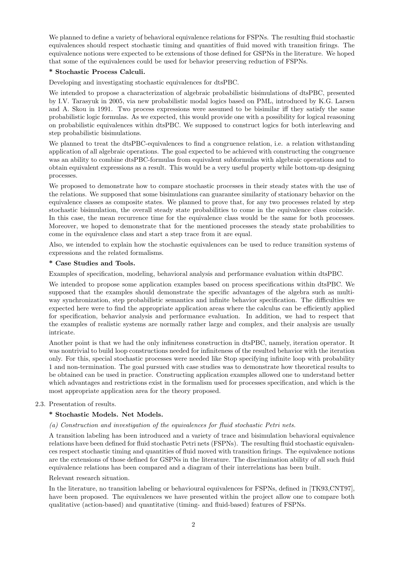We planned to define a variety of behavioral equivalence relations for FSPNs. The resulting fluid stochastic equivalences should respect stochastic timing and quantities of fluid moved with transition firings. The equivalence notions were expected to be extensions of those defined for GSPNs in the literature. We hoped that some of the equivalences could be used for behavior preserving reduction of FSPNs.

## \* Stochastic Process Calculi.

Developing and investigating stochastic equivalences for dtsPBC.

We intended to propose a characterization of algebraic probabilistic bisimulations of dtsPBC, presented by I.V. Tarasyuk in 2005, via new probabilistic modal logics based on PML, introduced by K.G. Larsen and A. Skou in 1991. Two process expressions were assumed to be bisimilar iff they satisfy the same probabilistic logic formulas. As we expected, this would provide one with a possibility for logical reasoning on probabilistic equivalences within dtsPBC. We supposed to construct logics for both interleaving and step probabilistic bisimulations.

We planned to treat the dtsPBC-equivalences to find a congruence relation, i.e. a relation withstanding application of all algebraic operations. The goal expected to be achieved with constructing the congruence was an ability to combine dtsPBC-formulas from equivalent subformulas with algebraic operations and to obtain equivalent expressions as a result. This would be a very useful property while bottom-up designing processes.

We proposed to demonstrate how to compare stochastic processes in their steady states with the use of the relations. We supposed that some bisimulations can guarantee similarity of stationary behavior on the equivalence classes as composite states. We planned to prove that, for any two processes related by step stochastic bisimulation, the overall steady state probabilities to come in the equivalence class coincide. In this case, the mean recurrence time for the equivalence class would be the same for both processes. Moreover, we hoped to demonstrate that for the mentioned processes the steady state probabilities to come in the equivalence class and start a step trace from it are equal.

Also, we intended to explain how the stochastic equivalences can be used to reduce transition systems of expressions and the related formalisms.

### \* Case Studies and Tools.

Examples of specification, modeling, behavioral analysis and performance evaluation within dtsPBC.

We intended to propose some application examples based on process specifications within dtsPBC. We supposed that the examples should demonstrate the specific advantages of the algebra such as multiway synchronization, step probabilistic semantics and infinite behavior specification. The difficulties we expected here were to find the appropriate application areas where the calculus can be efficiently applied for specification, behavior analysis and performance evaluation. In addition, we had to respect that the examples of realistic systems are normally rather large and complex, and their analysis are usually intricate.

Another point is that we had the only infiniteness construction in dtsPBC, namely, iteration operator. It was nontrivial to build loop constructions needed for infiniteness of the resulted behavior with the iteration only. For this, special stochastic processes were needed like Stop specifying infinite loop with probability 1 and non-termination. The goal pursued with case studies was to demonstrate how theoretical results to be obtained can be used in practice. Constructing application examples allowed one to understand better which advantages and restrictions exist in the formalism used for processes specification, and which is the most appropriate application area for the theory proposed.

### 2.3. Presentation of results.

# \* Stochastic Models. Net Models.

### (a) Construction and investigation of the equivalences for fluid stochastic Petri nets.

A transition labeling has been introduced and a variety of trace and bisimulation behavioral equivalence relations have been defined for fluid stochastic Petri nets (FSPNs). The resulting fluid stochastic equivalences respect stochastic timing and quantities of fluid moved with transition firings. The equivalence notions are the extensions of those defined for GSPNs in the literature. The discrimination ability of all such fluid equivalence relations has been compared and a diagram of their interrelations has been built.

### Relevant research situation.

In the literature, no transition labeling or behavioural equivalences for FSPNs, defined in [TK93,CNT97], have been proposed. The equivalences we have presented within the project allow one to compare both qualitative (action-based) and quantitative (timing- and fluid-based) features of FSPNs.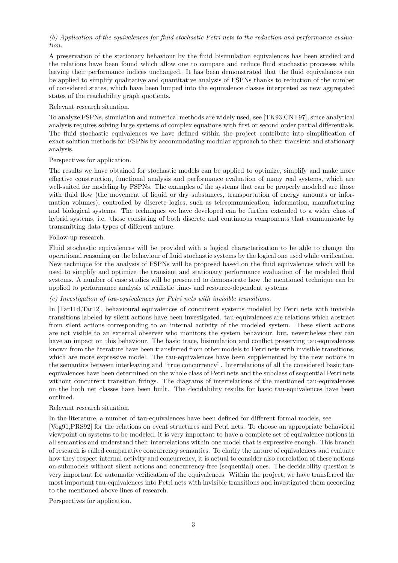# (b) Application of the equivalences for fluid stochastic Petri nets to the reduction and performance evaluation.

A preservation of the stationary behaviour by the fluid bisimulation equivalences has been studied and the relations have been found which allow one to compare and reduce fluid stochastic processes while leaving their performance indices unchanged. It has been demonstrated that the fluid equivalences can be applied to simplify qualitative and quantitative analysis of FSPNs thanks to reduction of the number of considered states, which have been lumped into the equivalence classes interpreted as new aggregated states of the reachability graph quotients.

## Relevant research situation.

To analyze FSPNs, simulation and numerical methods are widely used, see [TK93,CNT97], since analytical analysis requires solving large systems of complex equations with first or second order partial differentials. The fluid stochastic equivalences we have defined within the project contribute into simplification of exact solution methods for FSPNs by accommodating modular approach to their transient and stationary analysis.

# Perspectives for application.

The results we have obtained for stochastic models can be applied to optimize, simplify and make more effective construction, functional analysis and performance evaluation of many real systems, which are well-suited for modeling by FSPNs. The examples of the systems that can be properly modeled are those with fluid flow (the movement of liquid or dry substances, transportation of energy amounts or information volumes), controlled by discrete logics, such as telecommunication, information, manufacturing and biological systems. The techniques we have developed can be further extended to a wider class of hybrid systems, i.e. those consisting of both discrete and continuous components that communicate by transmitting data types of different nature.

# Follow-up research.

Fluid stochastic equivalences will be provided with a logical characterization to be able to change the operational reasoning on the behaviour of fluid stochastic systems by the logical one used while verification. New technique for the analysis of FSPNs will be proposed based on the fluid equivalences which will be used to simplify and optimize the transient and stationary performance evaluation of the modeled fluid systems. A number of case studies will be presented to demonstrate how the mentioned technique can be applied to performance analysis of realistic time- and resource-dependent systems.

# (c) Investigation of tau-equivalences for Petri nets with invisible transitions.

In [Tar11d,Tar12], behavioural equivalences of concurrent systems modeled by Petri nets with invisible transitions labeled by silent actions have been investigated. tau-equivalences are relations which abstract from silent actions corresponding to an internal activity of the modeled system. These silent actions are not visible to an external observer who monitors the system behaviour, but, nevertheless they can have an impact on this behaviour. The basic trace, bisimulation and conflict preserving tau-equivalences known from the literature have been transferred from other models to Petri nets with invisible transitions, which are more expressive model. The tau-equivalences have been supplemented by the new notions in the semantics between interleaving and "true concurrency". Interrelations of all the considered basic tauequivalences have been determined on the whole class of Petri nets and the subclass of sequential Petri nets without concurrent transition firings. The diagrams of interrelations of the mentioned tau-equivalences on the both net classes have been built. The decidability results for basic tau-equivalences have been outlined.

## Relevant research situation.

In the literature, a number of tau-equivalences have been defined for different formal models, see

[Vog91,PRS92] for the relations on event structures and Petri nets. To choose an appropriate behavioral viewpoint on systems to be modeled, it is very important to have a complete set of equivalence notions in all semantics and understand their interrelations within one model that is expressive enough. This branch of research is called comparative concurrency semantics. To clarify the nature of equivalences and evaluate how they respect internal activity and concurrency, it is actual to consider also correlation of these notions on submodels without silent actions and concurrency-free (sequential) ones. The decidability question is very important for automatic verification of the equivalences. Within the project, we have transferred the most important tau-equivalences into Petri nets with invisible transitions and investigated them according to the mentioned above lines of research.

Perspectives for application.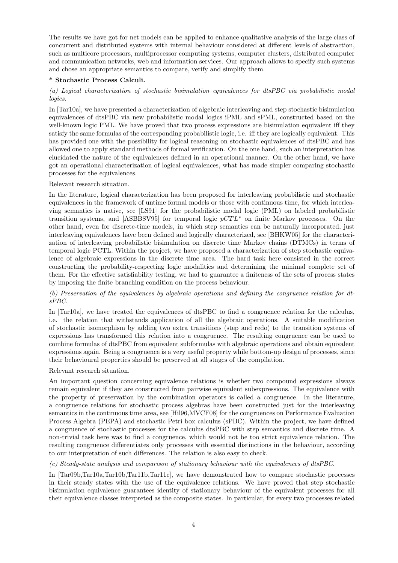The results we have got for net models can be applied to enhance qualitative analysis of the large class of concurrent and distributed systems with internal behaviour considered at different levels of abstraction, such as multicore processors, multiprocessor computing systems, computer clusters, distributed computer and communication networks, web and information services. Our approach allows to specify such systems and chose an appropriate semantics to compare, verify and simplify them.

### \* Stochastic Process Calculi.

# (a) Logical characterization of stochastic bisimulation equivalences for dtsPBC via probabilistic modal logics.

In [Tar10a], we have presented a characterization of algebraic interleaving and step stochastic bisimulation equivalences of dtsPBC via new probabilistic modal logics iPML and sPML, constructed based on the well-known logic PML. We have proved that two process expressions are bisimulation equivalent iff they satisfy the same formulas of the corresponding probabilistic logic, i.e. iff they are logically equivalent. This has provided one with the possibility for logical reasoning on stochastic equivalences of dtsPBC and has allowed one to apply standard methods of formal verification. On the one hand, such an interpretation has elucidated the nature of the equivalences defined in an operational manner. On the other hand, we have got an operational characterization of logical equivalences, what has made simpler comparing stochastic processes for the equivalences.

Relevant research situation.

In the literature, logical characterization has been proposed for interleaving probabilistic and stochastic equivalences in the framework of untime formal models or those with continuous time, for which interleaving semantics is native, see [LS91] for the probabilistic modal logic (PML) on labeled probabilistic transition systems, and [ASBBSV95] for temporal logic  $pCTL^*$  on finite Markov processes. On the other hand, even for discrete-time models, in which step semantics can be naturally incorporated, just interleaving equivalences have been defined and logically characterized, see [BHKW05] for the characterization of interleaving probabilistic bisimulation on discrete time Markov chains (DTMCs) in terms of temporal logic PCTL. Within the project, we have proposed a characterization of step stochastic equivalence of algebraic expressions in the discrete time area. The hard task here consisted in the correct constructing the probability-respecting logic modalities and determining the minimal complete set of them. For the effective satisfiability testing, we had to guarantee a finiteness of the sets of process states by imposing the finite branching condition on the process behaviour.

# (b) Preservation of the equivalences by algebraic operations and defining the congruence relation for dtsPBC.

In [Tar10a], we have treated the equivalences of dtsPBC to find a congruence relation for the calculus, i.e. the relation that withstands application of all the algebraic operations. A suitable modification of stochastic isomorphism by adding two extra transitions (step and redo) to the transition systems of expressions has transformed this relation into a congruence. The resulting congruence can be used to combine formulas of dtsPBC from equivalent subformulas with algebraic operations and obtain equivalent expressions again. Being a congruence is a very useful property while bottom-up design of processes, since their behavioural properties should be preserved at all stages of the compilation.

Relevant research situation.

An important question concerning equivalence relations is whether two compound expressions always remain equivalent if they are constructed from pairwise equivalent subexpressions. The equivalence with the property of preservation by the combination operators is called a congruence. In the literature, a congruence relations for stochastic process algebras have been constructed just for the interleaving semantics in the continuous time area, see [Hil96,MVCF08] for the congruences on Performance Evaluation Process Algebra (PEPA) and stochastic Petri box calculus (sPBC). Within the project, we have defined a congruence of stochastic processes for the calculus dtsPBC with step semantics and discrete time. A non-trivial task here was to find a congruence, which would not be too strict equivalence relation. The resulting congruence differentiates only processes with essential distinctions in the behaviour, according to our interpretation of such differences. The relation is also easy to check.

# (c) Steady-state analysis and comparison of stationary behaviour with the equivalences of dtsPBC.

In [Tar09b,Tar10a,Tar10b,Tar11b,Tar11c], we have demonstrated how to compare stochastic processes in their steady states with the use of the equivalence relations. We have proved that step stochastic bisimulation equivalence guarantees identity of stationary behaviour of the equivalent processes for all their equivalence classes interpreted as the composite states. In particular, for every two processes related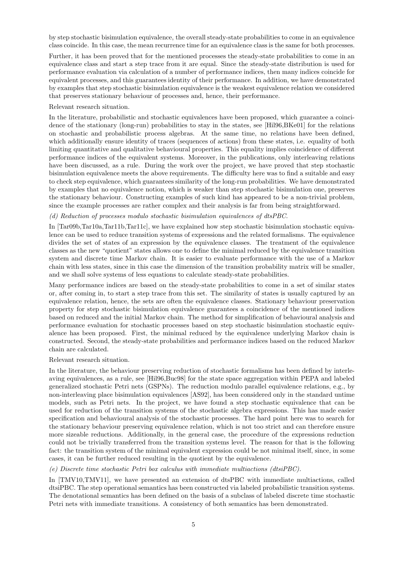by step stochastic bisimulation equivalence, the overall steady-state probabilities to come in an equivalence class coincide. In this case, the mean recurrence time for an equivalence class is the same for both processes.

Further, it has been proved that for the mentioned processes the steady-state probabilities to come in an equivalence class and start a step trace from it are equal. Since the steady-state distribution is used for performance evaluation via calculation of a number of performance indices, then many indices coincide for equivalent processes, and this guarantees identity of their performance. In addition, we have demonstrated by examples that step stochastic bisimulation equivalence is the weakest equivalence relation we considered that preserves stationary behaviour of processes and, hence, their performance.

Relevant research situation.

In the literature, probabilistic and stochastic equivalences have been proposed, which guarantee a coincidence of the stationary (long-run) probabilities to stay in the states, see [Hil96,BKe01] for the relations on stochastic and probabilistic process algebras. At the same time, no relations have been defined, which additionally ensure identity of traces (sequences of actions) from these states, i.e. equality of both limiting quantitative and qualitative behavioural properties. This equality implies coincidence of different performance indices of the equivalent systems. Moreover, in the publications, only interleaving relations have been discussed, as a rule. During the work over the project, we have proved that step stochastic bisimulation equivalence meets the above requirements. The difficulty here was to find a suitable and easy to check step equivalence, which guarantees similarity of the long-run probabilities. We have demonstrated by examples that no equivalence notion, which is weaker than step stochastic bisimulation one, preserves the stationary behaviour. Constructing examples of such kind has appeared to be a non-trivial problem, since the example processes are rather complex and their analysis is far from being straightforward.

### (d) Reduction of processes modulo stochastic bisimulation equivalences of dtsPBC.

In [Tar09b,Tar10a,Tar11b,Tar11c], we have explained how step stochastic bisimulation stochastic equivalence can be used to reduce transition systems of expressions and the related formalisms. The equivalence divides the set of states of an expression by the equivalence classes. The treatment of the equivalence classes as the new "quotient" states allows one to define the minimal reduced by the equivalence transition system and discrete time Markov chain. It is easier to evaluate performance with the use of a Markov chain with less states, since in this case the dimension of the transition probability matrix will be smaller, and we shall solve systems of less equations to calculate steady-state probabilities.

Many performance indices are based on the steady-state probabilities to come in a set of similar states or, after coming in, to start a step trace from this set. The similarity of states is usually captured by an equivalence relation, hence, the sets are often the equivalence classes. Stationary behaviour preservation property for step stochastic bisimulation equivalence guarantees a coincidence of the mentioned indices based on reduced and the initial Markov chain. The method for simplification of behavioural analysis and performance evaluation for stochastic processes based on step stochastic bisimulation stochastic equivalence has been proposed. First, the minimal reduced by the equivalence underlying Markov chain is constructed. Second, the steady-state probabilities and performance indices based on the reduced Markov chain are calculated.

#### Relevant research situation.

In the literature, the behaviour preserving reduction of stochastic formalisms has been defined by interleaving equivalences, as a rule, see [Hil96,Buc98] for the state space aggregation within PEPA and labeled generalized stochastic Petri nets (GSPNs). The reduction modulo parallel equivalence relations, e.g., by non-interleaving place bisimulation equivalences [AS92], has been considered only in the standard untime models, such as Petri nets. In the project, we have found a step stochastic equivalence that can be used for reduction of the transition systems of the stochastic algebra expressions. This has made easier specification and behavioural analysis of the stochastic processes. The hard point here was to search for the stationary behaviour preserving equivalence relation, which is not too strict and can therefore ensure more sizeable reductions. Additionally, in the general case, the procedure of the expressions reduction could not be trivially transferred from the transition systems level. The reason for that is the following fact: the transition system of the minimal equivalent expression could be not minimal itself, since, in some cases, it can be further reduced resulting in the quotient by the equivalence.

(e) Discrete time stochastic Petri box calculus with immediate multiactions (dtsiPBC).

In [TMV10,TMV11], we have presented an extension of dtsPBC with immediate multiactions, called dtsiPBC. The step operational semantics has been constructed via labeled probabilistic transition systems. The denotational semantics has been defined on the basis of a subclass of labeled discrete time stochastic Petri nets with immediate transitions. A consistency of both semantics has been demonstrated.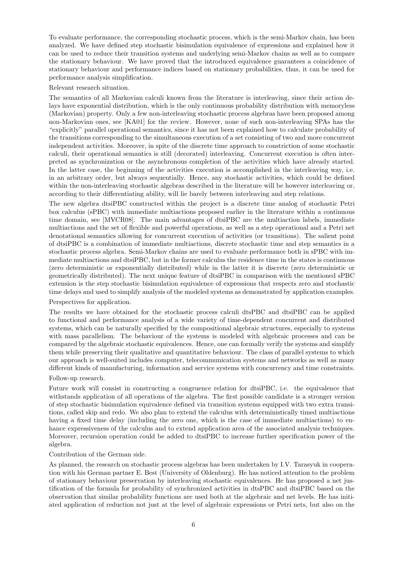To evaluate performance, the corresponding stochastic process, which is the semi-Markov chain, has been analyzed. We have defined step stochastic bisimulation equivalence of expressions and explained how it can be used to reduce their transition systems and underlying semi-Markov chains as well as to compare the stationary behaviour. We have proved that the introduced equivalence guarantees a coincidence of stationary behaviour and performance indices based on stationary probabilities, thus, it can be used for performance analysis simplification.

Relevant research situation.

The semantics of all Markovian calculi known from the literature is interleaving, since their action delays have exponential distribution, which is the only continuous probability distribution with memoryless (Markovian) property. Only a few non-interleaving stochastic process algebras have been proposed among non-Markovian ones, see [KA01] for the review. However, none of such non-interleaving SPAs has the "explicitly" parallel operational semantics, since it has not been explained how to calculate probability of the transitions corresponding to the simultaneous execution of a set consisting of two and more concurrent independent activities. Moreover, in spite of the discrete time approach to constriction of some stochastic calculi, their operational semantics is still (decorated) interleaving. Concurrent execution is often interpreted as synchronization or the asynchronous completion of the activities which have already started. In the latter case, the beginning of the activities execution is accomplished in the interleaving way, i.e. in an arbitrary order, but always sequentially. Hence, any stochastic activities, which could be defined within the non-interleaving stochastic algebras described in the literature will be however interleaving or, according to their differentiating ability, will lie barely between interleaving and step relations.

The new algebra dtsiPBC constructed within the project is a discrete time analog of stochastic Petri box calculus (sPBC) with immediate multiactions proposed earlier in the literature within a continuous time domain, see [MVCR08]. The main advantages of dtsiPBC are the multiaction labels, immediate multiactions and the set of flexible and powerful operations, as well as a step operational and a Petri net denotational semantics allowing for concurrent execution of activities (or transitions). The salient point of dtsiPBC is a combination of immediate multiactions, discrete stochastic time and step semantics in a stochastic process algebra. Semi-Markov chains are used to evaluate performance both in sPBC with immediate multiactions and dtsiPBC, but in the former calculus the residence time in the states is continuous (zero deterministic or exponentially distributed) while in the latter it is discrete (zero deterministic or geometrically distributed). The next unique feature of dtsiPBC in comparison with the mentioned sPBC extension is the step stochastic bisimulation equivalence of expressions that respects zero and stochastic time delays and used to simplify analysis of the modeled systems as demonstrated by application examples.

#### Perspectives for application.

The results we have obtained for the stochastic process calculi dtsPBC and dtsiPBC can be applied to functional and performance analysis of a wide variety of time-dependent concurrent and distributed systems, which can be naturally specified by the compositional algebraic structures, especially to systems with mass parallelism. The behaviour of the systems is modeled with algebraic processes and can be compared by the algebraic stochastic equivalences. Hence, one can formally verify the systems and simplify them while preserving their qualitative and quantitative behaviour. The class of parallel systems to which our approach is well-suited includes computer, telecommunication systems and networks as well as many different kinds of manufacturing, information and service systems with concurrency and time constraints.

### Follow-up research.

Future work will consist in constructing a congruence relation for dtsiPBC, i.e. the equivalence that withstands application of all operations of the algebra. The first possible candidate is a stronger version of step stochastic bisimulation equivalence defined via transition systems equipped with two extra transitions, called skip and redo. We also plan to extend the calculus with deterministically timed multiactions having a fixed time delay (including the zero one, which is the case of immediate multiactions) to enhance expressiveness of the calculus and to extend application area of the associated analysis techniques. Moreover, recursion operation could be added to dtsiPBC to increase further specification power of the algebra.

#### Contribution of the German side.

As planned, the research on stochastic process algebras has been undertaken by I.V. Tarasyuk in cooperation with his German partner E. Best (University of Oldenburg). He has noticed attention to the problem of stationary behaviour preservation by interleaving stochastic equivalences. He has proposed a net justification of the formula for probability of synchronized activities in dtsPBC and dtsiPBC based on the observation that similar probability functions are used both at the algebraic and net levels. He has initiated application of reduction not just at the level of algebraic expressions or Petri nets, but also on the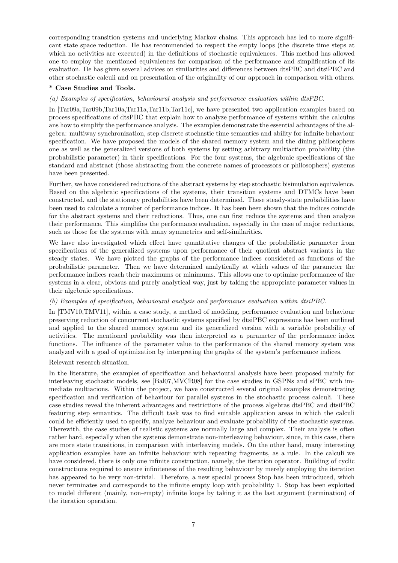corresponding transition systems and underlying Markov chains. This approach has led to more significant state space reduction. He has recommended to respect the empty loops (the discrete time steps at which no activities are executed) in the definitions of stochastic equivalences. This method has allowed one to employ the mentioned equivalences for comparison of the performance and simplification of its evaluation. He has given several advices on similarities and differences between dtsPBC and dtsiPBC and other stochastic calculi and on presentation of the originality of our approach in comparison with others.

### \* Case Studies and Tools.

### (a) Examples of specification, behavioural analysis and performance evaluation within dtsPBC.

In [Tar09a,Tar09b,Tar10a,Tar11a,Tar11b,Tar11c], we have presented two application examples based on process specifications of dtsPBC that explain how to analyze performance of systems within the calculus ans how to simplify the performance analysis. The examples demonstrate the essential advantages of the algebra: multiway synchronization, step discrete stochastic time semantics and ability for infinite behaviour specification. We have proposed the models of the shared memory system and the dining philosophers one as well as the generalized versions of both systems by setting arbitrary multiaction probability (the probabilistic parameter) in their specifications. For the four systems, the algebraic specifications of the standard and abstract (those abstracting from the concrete names of processors or philosophers) systems have been presented.

Further, we have considered reductions of the abstract systems by step stochastic bisimulation equivalence. Based on the algebraic specifications of the systems, their transition systems and DTMCs have been constructed, and the stationary probabilities have been determined. These steady-state probabilities have been used to calculate a number of performance indices. It has been been shown that the indices coincide for the abstract systems and their reductions. Thus, one can first reduce the systems and then analyze their performance. This simplifies the performance evaluation, especially in the case of major reductions, such as those for the systems with many symmetries and self-similarities.

We have also investigated which effect have quantitative changes of the probabilistic parameter from specifications of the generalized systems upon performance of their quotient abstract variants in the steady states. We have plotted the graphs of the performance indices considered as functions of the probabilistic parameter. Then we have determined analytically at which values of the parameter the performance indices reach their maximums or minimums. This allows one to optimize performance of the systems in a clear, obvious and purely analytical way, just by taking the appropriate parameter values in their algebraic specifications.

#### (b) Examples of specification, behavioural analysis and performance evaluation within dtsiPBC.

In [TMV10,TMV11], within a case study, a method of modeling, performance evaluation and behaviour preserving reduction of concurrent stochastic systems specified by dtsiPBC expressions has been outlined and applied to the shared memory system and its generalized version with a variable probability of activities. The mentioned probability was then interpreted as a parameter of the performance index functions. The influence of the parameter value to the performance of the shared memory system was analyzed with a goal of optimization by interpreting the graphs of the system's performance indices.

Relevant research situation.

In the literature, the examples of specification and behavioural analysis have been proposed mainly for interleaving stochastic models, see [Bal07,MVCR08] for the case studies in GSPNs and sPBC with immediate multiacions. Within the project, we have constructed several original examples demonstrating specification and verification of behaviour for parallel systems in the stochastic process calculi. These case studies reveal the inherent advantages and restrictions of the process algebras dtsPBC and dtsiPBC featuring step semantics. The difficult task was to find suitable application areas in which the calculi could be efficiently used to specify, analyze behaviour and evaluate probability of the stochastic systems. Therewith, the case studies of realistic systems are normally large and complex. Their analysis is often rather hard, especially when the systems demonstrate non-interleaving behaviour, since, in this case, there are more state transitions, in comparison with interleaving models. On the other hand, many interesting application examples have an infinite behaviour with repeating fragments, as a rule. In the calculi we have considered, there is only one infinite construction, namely, the iteration operator. Building of cyclic constructions required to ensure infiniteness of the resulting behaviour by merely employing the iteration has appeared to be very non-trivial. Therefore, a new special process Stop has been introduced, which never terminates and corresponds to the infinite empty loop with probability 1. Stop has been exploited to model different (mainly, non-empty) infinite loops by taking it as the last argument (termination) of the iteration operation.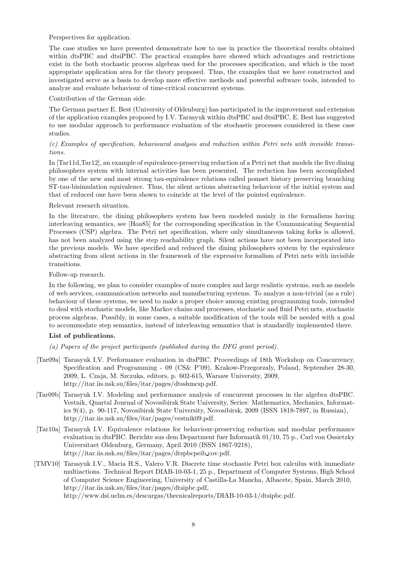Perspectives for application.

The case studies we have presented demonstrate how to use in practice the theoretical results obtained within dtsPBC and dtsiPBC. The practical examples have showed which advantages and restrictions exist in the both stochastic process algebras used for the processes specification, and which is the most appropriate application area for the theory proposed. Thus, the examples that we have constructed and investigated serve as a basis to develop more effective methods and powerful software tools, intended to analyze and evaluate behaviour of time-critical concurrent systems.

Contribution of the German side.

The German partner E. Best (University of Oldenburg) has participated in the improvement and extension of the application examples proposed by I.V. Tarasyuk within dtsPBC and dtsiPBC. E. Best has suggested to use modular approach to performance evaluation of the stochastic processes considered in these case studies.

## (c) Examples of specification, behavioural analysis and reduction within Petri nets with invisible transitions.

In [Tar11d,Tar12], an example of equivalence-preserving reduction of a Petri net that models the five dining philosophers system with internal activities has been presented. The reduction has been accomplished by one of the new and most strong tau-equivalence relations called pomset history preserving branching ST-tau-bisimulation equivalence. Thus, the silent actions abstracting behaviour of the initial system and that of reduced one have been shown to coincide at the level of the pointed equivalence.

### Relevant research situation.

In the literature, the dining philosophers system has been modeled mainly in the formalisms having interleaving semantics, see [Hoa85] for the corresponding specification in the Communicating Sequential Processes (CSP) algebra. The Petri net specification, where only simultaneous taking forks is allowed, has not been analyzed using the step reachability graph. Silent actions have not been incorporated into the previous models. We have specified and reduced the dining philosophers system by the equivalence abstracting from silent actions in the framework of the expressive formalism of Petri nets with invisible transitions.

Follow-up research.

In the following, we plan to consider examples of more complex and large realistic systems, such as models of web services, communication networks and manufacturing systems. To analyze a non-trivial (as a rule) behaviour of these systems, we need to make a proper choice among existing programming tools, intended to deal with stochastic models, like Markov chains and processes, stochastic and fluid Petri nets, stochastic process algebras. Possibly, in some cases, a suitable modification of the tools will be needed with a goal to accommodate step semantics, instead of interleaving semantics that is standardly implemented there.

### List of publications.

(a) Papers of the project participants (published during the DFG grant period).

- [Tar09a] Tarasyuk I.V. Performance evaluation in dtsPBC. Proceedings of 18th Workshop on Concurrency, Specification and Programming - 09 (CS& P'09), Krakow-Przegorzaly, Poland, September 28-30, 2009, L. Czaja, M. Szczuka, editors, p. 602-615, Warsaw University, 2009, http://itar.iis.nsk.su/files/itar/pages/dtsshmcsp.pdf.
- [Tar09b] Tarasyuk I.V. Modeling and performance analysis of concurrent processes in the algebra dtsPBC. Vestnik, Quartal Journal of Novosibirsk State University, Series: Mathematics, Mechanics, Informatics 9(4), p. 90-117, Novosibirsk State University, Novosibirsk, 2009 (ISSN 1818-7897, in Russian), http://itar.iis.nsk.su/files/itar/pages/vestnik09.pdf.
- [Tar10a] Tarasyuk I.V. Equivalence relations for behaviour-preserving reduction and modular performance evaluation in dtsPBC. Berichte aus dem Department fuer Informatik 01/10, 75 p., Carl von Ossietzky Universitaet Oldenburg, Germany, April 2010 (ISSN 1867-9218), http://itar.iis.nsk.su/files/itar/pages/dtspbcpeib cov.pdf.
- [TMV10] Tarasyuk I.V., Macia H.S., Valero V.R. Discrete time stochastic Petri box calculus with immediate multiactions. Technical Report DIAB-10-03-1, 25 p., Department of Computer Systems, High School of Computer Science Engineering, University of Castilla-La Mancha, Albacete, Spain, March 2010, http://itar.iis.nsk.su/files/itar/pages/dtsipbc.pdf, http://www.dsi.uclm.es/descargas/thecnicalreports/DIAB-10-03-1/dtsipbc.pdf.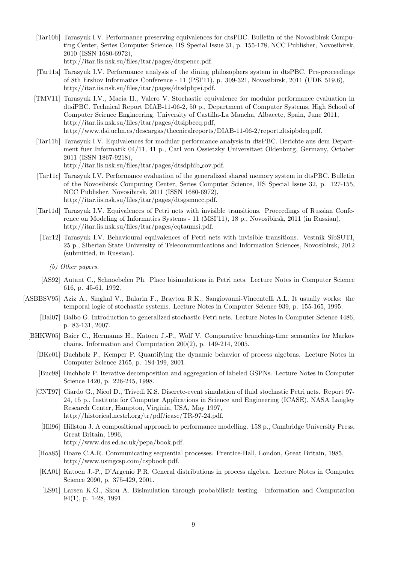- [Tar10b] Tarasyuk I.V. Performance preserving equivalences for dtsPBC. Bulletin of the Novosibirsk Computing Center, Series Computer Science, IIS Special Issue 31, p. 155-178, NCC Publisher, Novosibirsk, 2010 (ISSN 1680-6972), http://itar.iis.nsk.su/files/itar/pages/dtspencc.pdf.
- [Tar11a] Tarasyuk I.V. Performance analysis of the dining philosophers system in dtsPBC. Pre-proceedings of 8th Ershov Informatics Conference - 11 (PSI'11), p. 309-321, Novosibirsk, 2011 (UDK 519.6), http://itar.iis.nsk.su/files/itar/pages/dtsdphpsi.pdf.
- [TMV11] Tarasyuk I.V., Macia H., Valero V. Stochastic equivalence for modular performance evaluation in dtsiPBC. Technical Report DIAB-11-06-2, 50 p., Department of Computer Systems, High School of Computer Science Engineering, University of Castilla-La Mancha, Albacete, Spain, June 2011, http://itar.iis.nsk.su/files/itar/pages/dtsipbceq.pdf, http://www.dsi.uclm.es/descargas/thecnicalreports/DIAB-11-06-2/report dtsipbdeq.pdf.
- [Tar11b] Tarasyuk I.V. Equivalences for modular performance analysis in dtsPBC. Berichte aus dem Department fuer Informatik 04/11, 41 p., Carl von Ossietzky Universitaet Oldenburg, Germany, October 2011 (ISSN 1867-9218), http://itar.iis.nsk.su/files/itar/pages/dtsdphib cov.pdf.
- [Tar11c] Tarasyuk I.V. Performance evaluation of the generalized shared memory system in dtsPBC. Bulletin of the Novosibirsk Computing Center, Series Computer Science, IIS Special Issue 32, p. 127-155, NCC Publisher, Novosibirsk, 2011 (ISSN 1680-6972), http://itar.iis.nsk.su/files/itar/pages/dtsgsmncc.pdf.
- [Tar11d] Tarasyuk I.V. Equivalences of Petri nets with invisible transitions. Proceedings of Russian Conference on Modeling of Informatics Systems - 11 (MSI'11), 18 p., Novosibirsk, 2011 (in Russian), http://itar.iis.nsk.su/files/itar/pages/eqtaumsi.pdf.
- [Tar12] Tarasyuk I.V. Behavioural equivalences of Petri nets with invisible transitions. Vestnik SibSUTI, 25 p., Siberian State University of Telecommunications and Information Sciences, Novosibirsk, 2012 (submitted, in Russian).
	- (b) Other papers.
- [AS92] Autant C., Schnoebelen Ph. Place bisimulations in Petri nets. Lecture Notes in Computer Science 616, p. 45-61, 1992.
- [ASBBSV95] Aziz A., Singhal V., Balarin F., Brayton R.K., Sangiovanni-Vincentelli A.L. It usually works: the temporal logic of stochastic systems. Lecture Notes in Computer Science 939, p. 155-165, 1995.
	- [Bal07] Balbo G. Introduction to generalized stochastic Petri nets. Lecture Notes in Computer Science 4486, p. 83-131, 2007.
	- [BHKW05] Baier C., Hermanns H., Katoen J.-P., Wolf V. Comparative branching-time semantics for Markov chains. Information and Computation 200(2), p. 149-214, 2005.
		- [BKe01] Buchholz P., Kemper P. Quantifying the dynamic behavior of process algebras. Lecture Notes in Computer Science 2165, p. 184-199, 2001.
		- [Buc98] Buchholz P. Iterative decomposition and aggregation of labeled GSPNs. Lecture Notes in Computer Science 1420, p. 226-245, 1998.
		- [CNT97] Ciardo G., Nicol D., Trivedi K.S. Discrete-event simulation of fluid stochastic Petri nets. Report 97- 24, 15 p., Institute for Computer Applications in Science and Engineering (ICASE), NASA Langley Research Center, Hampton, Virginia, USA, May 1997, http://historical.ncstrl.org/tr/pdf/icase/TR-97-24.pdf.
		- [Hil96] Hillston J. A compositional approach to performance modelling. 158 p., Cambridge University Press, Great Britain, 1996, http://www.dcs.ed.ac.uk/pepa/book.pdf.
		- [Hoa85] Hoare C.A.R. Communicating sequential processes. Prentice-Hall, London, Great Britain, 1985, http://www.usingcsp.com/cspbook.pdf.
		- [KA01] Katoen J.-P., D'Argenio P.R. General distributions in process algebra. Lecture Notes in Computer Science 2090, p. 375-429, 2001.
		- [LS91] Larsen K.G., Skou A. Bisimulation through probabilistic testing. Information and Computation 94(1), p. 1-28, 1991.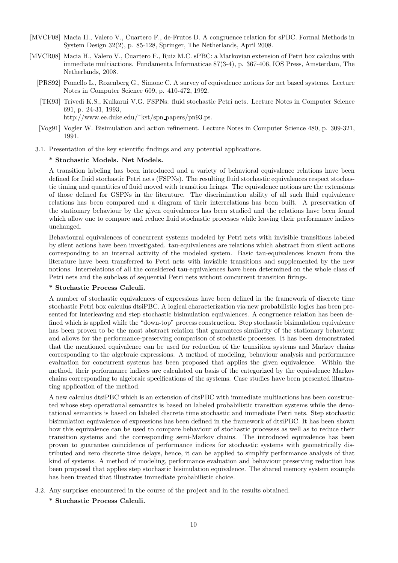- [MVCF08] Macia H., Valero V., Cuartero F., de-Frutos D. A congruence relation for sPBC. Formal Methods in System Design 32(2), p. 85-128, Springer, The Netherlands, April 2008.
- [MVCR08] Macia H., Valero V., Cuartero F., Ruiz M.C. sPBC: a Markovian extension of Petri box calculus with immediate multiactions. Fundamenta Informaticae 87(3-4), p. 367-406, IOS Press, Amsterdam, The Netherlands, 2008.
	- [PRS92] Pomello L., Rozenberg G., Simone C. A survey of equivalence notions for net based systems. Lecture Notes in Computer Science 609, p. 410-472, 1992.
	- [TK93] Trivedi K.S., Kulkarni V.G. FSPNs: fluid stochastic Petri nets. Lecture Notes in Computer Science 691, p. 24-31, 1993,

http://www.ee.duke.edu/˜kst/spn papers/pn93.ps.

- [Vog91] Vogler W. Bisimulation and action refinement. Lecture Notes in Computer Science 480, p. 309-321, 1991.
- 3.1. Presentation of the key scientific findings and any potential applications.

### \* Stochastic Models. Net Models.

A transition labeling has been introduced and a variety of behavioral equivalence relations have been defined for fluid stochastic Petri nets (FSPNs). The resulting fluid stochastic equivalences respect stochastic timing and quantities of fluid moved with transition firings. The equivalence notions are the extensions of those defined for GSPNs in the literature. The discrimination ability of all such fluid equivalence relations has been compared and a diagram of their interrelations has been built. A preservation of the stationary behaviour by the given equivalences has been studied and the relations have been found which allow one to compare and reduce fluid stochastic processes while leaving their performance indices unchanged.

Behavioural equivalences of concurrent systems modeled by Petri nets with invisible transitions labeled by silent actions have been investigated. tau-equivalences are relations which abstract from silent actions corresponding to an internal activity of the modeled system. Basic tau-equivalences known from the literature have been transferred to Petri nets with invisible transitions and supplemented by the new notions. Interrelations of all the considered tau-equivalences have been determined on the whole class of Petri nets and the subclass of sequential Petri nets without concurrent transition firings.

### \* Stochastic Process Calculi.

A number of stochastic equivalences of expressions have been defined in the framework of discrete time stochastic Petri box calculus dtsiPBC. A logical characterization via new probabilistic logics has been presented for interleaving and step stochastic bisimulation equivalences. A congruence relation has been defined which is applied while the "down-top" process construction. Step stochastic bisimulation equivalence has been proven to be the most abstract relation that guarantees similarity of the stationary behaviour and allows for the performance-preserving comparison of stochastic processes. It has been demonstrated that the mentioned equivalence can be used for reduction of the transition systems and Markov chains corresponding to the algebraic expressions. A method of modeling, behaviour analysis and performance evaluation for concurrent systems has been proposed that applies the given equivalence. Within the method, their performance indices are calculated on basis of the categorized by the equivalence Markov chains corresponding to algebraic specifications of the systems. Case studies have been presented illustrating application of the method.

A new calculus dtsiPBC which is an extension of dtsPBC with immediate multiactions has been constructed whose step operational semantics is based on labeled probabilistic transition systems while the denotational semantics is based on labeled discrete time stochastic and immediate Petri nets. Step stochastic bisimulation equivalence of expressions has been defined in the framework of dtsiPBC. It has been shown how this equivalence can be used to compare behaviour of stochastic processes as well as to reduce their transition systems and the corresponding semi-Markov chains. The introduced equivalence has been proven to guarantee coincidence of performance indices for stochastic systems with geometrically distributed and zero discrete time delays, hence, it can be applied to simplify performance analysis of that kind of systems. A method of modeling, performance evaluation and behaviour preserving reduction has been proposed that applies step stochastic bisimulation equivalence. The shared memory system example has been treated that illustrates immediate probabilistic choice.

- 3.2. Any surprises encountered in the course of the project and in the results obtained.
	- \* Stochastic Process Calculi.